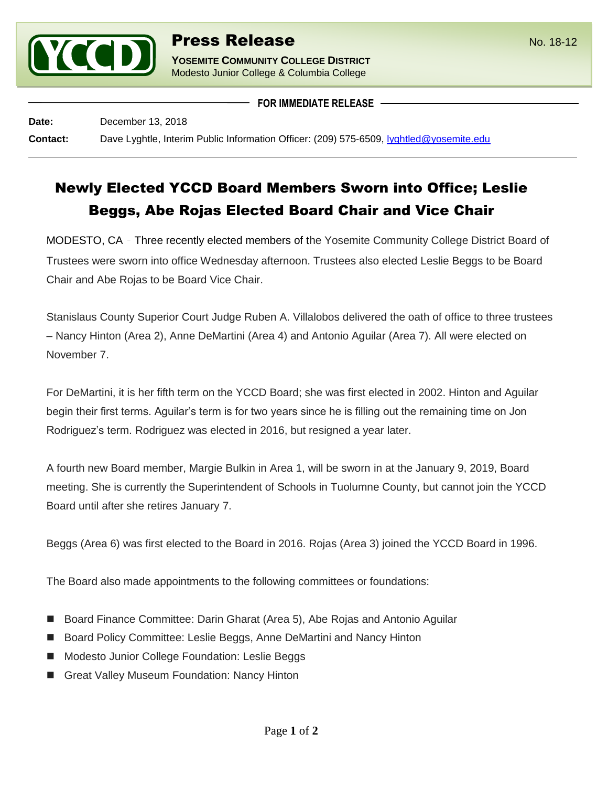

**YOSEMITE COMMUNITY COLLEGE DISTRICT** Modesto Junior College & Columbia College

**FOR IMMEDIATE RELEASE**

**Date:** December 13, 2018

**Contact:** Dave Lyghtle, Interim Public Information Officer: (209) 575-6509, [lyghtled@yosemite.edu](mailto:lyghtled@yosemite.edu)

## Newly Elected YCCD Board Members Sworn into Office; Leslie Beggs, Abe Rojas Elected Board Chair and Vice Chair

MODESTO, CA – Three recently elected members of the Yosemite Community College District Board of Trustees were sworn into office Wednesday afternoon. Trustees also elected Leslie Beggs to be Board Chair and Abe Rojas to be Board Vice Chair.

Stanislaus County Superior Court Judge Ruben A. Villalobos delivered the oath of office to three trustees – Nancy Hinton (Area 2), Anne DeMartini (Area 4) and Antonio Aguilar (Area 7). All were elected on November 7.

For DeMartini, it is her fifth term on the YCCD Board; she was first elected in 2002. Hinton and Aguilar begin their first terms. Aguilar's term is for two years since he is filling out the remaining time on Jon Rodriguez's term. Rodriguez was elected in 2016, but resigned a year later.

A fourth new Board member, Margie Bulkin in Area 1, will be sworn in at the January 9, 2019, Board meeting. She is currently the Superintendent of Schools in Tuolumne County, but cannot join the YCCD Board until after she retires January 7.

Beggs (Area 6) was first elected to the Board in 2016. Rojas (Area 3) joined the YCCD Board in 1996.

The Board also made appointments to the following committees or foundations:

- Board Finance Committee: Darin Gharat (Area 5), Abe Rojas and Antonio Aguilar
- Board Policy Committee: Leslie Beggs, Anne DeMartini and Nancy Hinton
- Modesto Junior College Foundation: Leslie Beggs
- Great Valley Museum Foundation: Nancy Hinton